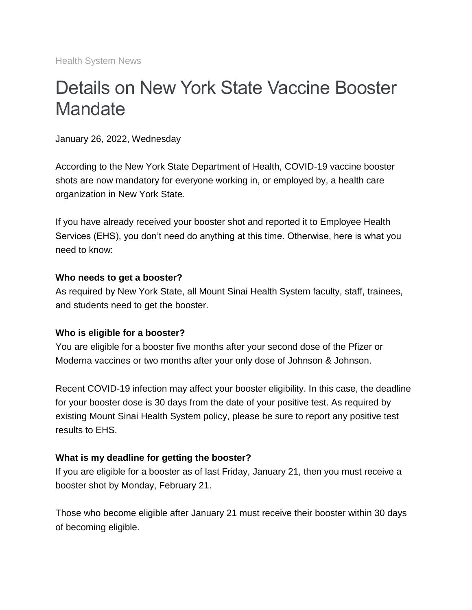Health System News

# Details on New York State Vaccine Booster **Mandate**

January 26, 2022, Wednesday

According to the New York State Department of Health, COVID-19 vaccine booster shots are now mandatory for everyone working in, or employed by, a health care organization in New York State.

If you have already received your booster shot and reported it to Employee Health Services (EHS), you don't need do anything at this time. Otherwise, here is what you need to know:

#### **Who needs to get a booster?**

As required by New York State, all Mount Sinai Health System faculty, staff, trainees, and students need to get the booster.

#### **Who is eligible for a booster?**

You are eligible for a booster five months after your second dose of the Pfizer or Moderna vaccines or two months after your only dose of Johnson & Johnson.

Recent COVID-19 infection may affect your booster eligibility. In this case, the deadline for your booster dose is 30 days from the date of your positive test. As required by existing Mount Sinai Health System policy, please be sure to report any positive test results to EHS.

#### **What is my deadline for getting the booster?**

If you are eligible for a booster as of last Friday, January 21, then you must receive a booster shot by Monday, February 21.

Those who become eligible after January 21 must receive their booster within 30 days of becoming eligible.